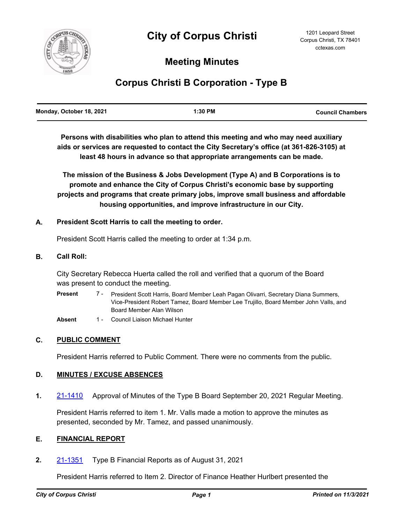

# **Meeting Minutes**

# **Corpus Christi B Corporation - Type B**

| Monday, October 18, 2021 | 1:30 PM | <b>Council Chambers</b> |
|--------------------------|---------|-------------------------|
|                          |         |                         |

**Persons with disabilities who plan to attend this meeting and who may need auxiliary aids or services are requested to contact the City Secretary's office (at 361-826-3105) at least 48 hours in advance so that appropriate arrangements can be made.**

**The mission of the Business & Jobs Development (Type A) and B Corporations is to promote and enhance the City of Corpus Christi's economic base by supporting projects and programs that create primary jobs, improve small business and affordable housing opportunities, and improve infrastructure in our City.**

# **A. President Scott Harris to call the meeting to order.**

President Scott Harris called the meeting to order at 1:34 p.m.

## **B. Call Roll:**

City Secretary Rebecca Huerta called the roll and verified that a quorum of the Board was present to conduct the meeting.

President Scott Harris, Board Member Leah Pagan Olivarri, Secretary Diana Summers, Vice-President Robert Tamez, Board Member Lee Trujillo, Board Member John Valls, and Board Member Alan Wilson **Present** 7 -

Absent 1 - Council Liaison Michael Hunter

# **C. PUBLIC COMMENT**

President Harris referred to Public Comment. There were no comments from the public.

# **D. MINUTES / EXCUSE ABSENCES**

**1.** [21-1410](http://corpuschristi.legistar.com/gateway.aspx?m=l&id=/matter.aspx?key=16593) Approval of Minutes of the Type B Board September 20, 2021 Regular Meeting.

President Harris referred to item 1. Mr. Valls made a motion to approve the minutes as presented, seconded by Mr. Tamez, and passed unanimously.

### **E. FINANCIAL REPORT**

**2.** [21-1351](http://corpuschristi.legistar.com/gateway.aspx?m=l&id=/matter.aspx?key=16552) Type B Financial Reports as of August 31, 2021

President Harris referred to Item 2. Director of Finance Heather Hurlbert presented the